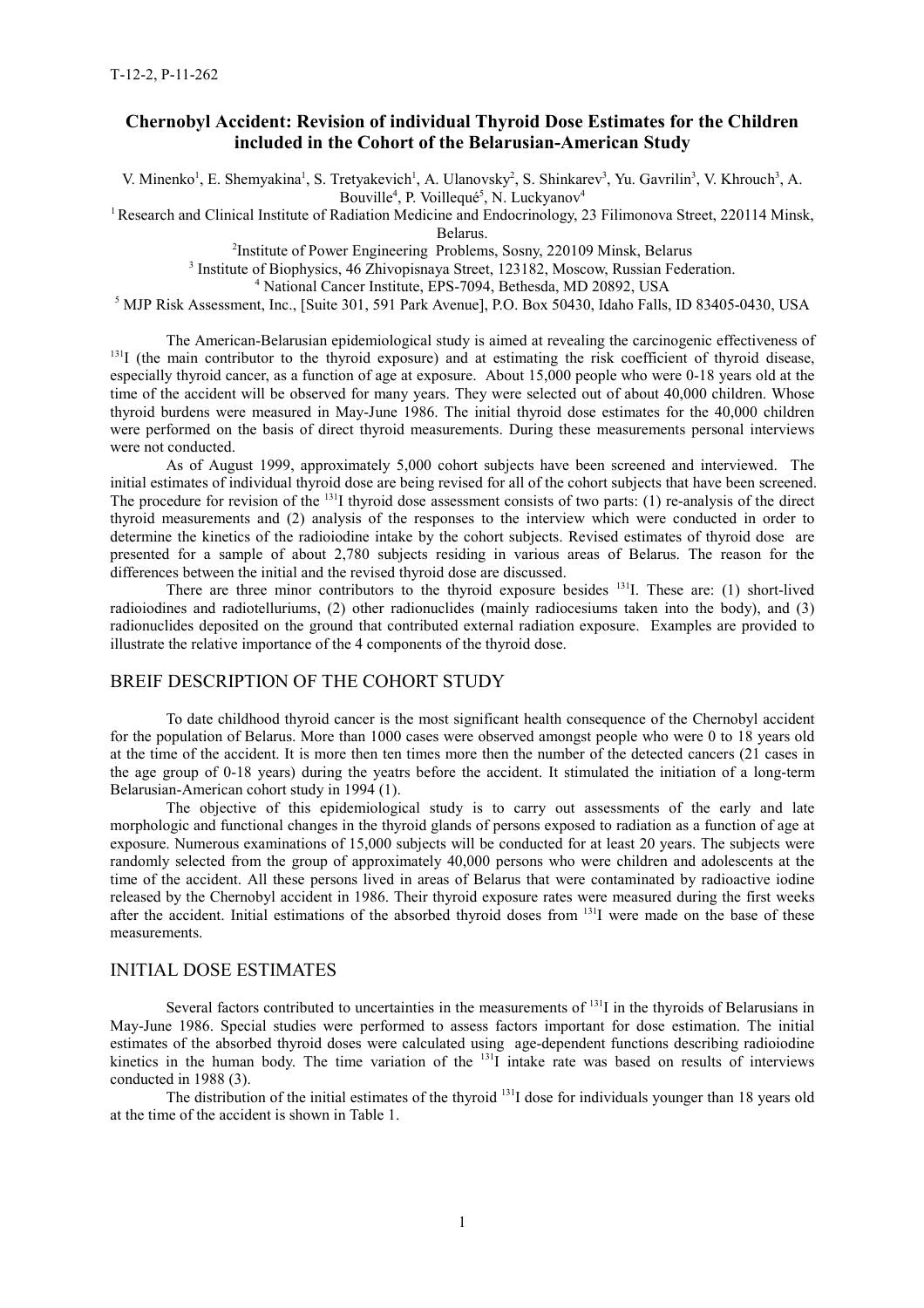# **Chernobyl Accident: Revision of individual Thyroid Dose Estimates for the Children included in the Cohort of the Belarusian-American Study**

V. Minenko<sup>1</sup>, E. Shemyakina<sup>1</sup>, S. Tretyakevich<sup>1</sup>, A. Ulanovsky<sup>2</sup>, S. Shinkarev<sup>3</sup>, Yu. Gavrilin<sup>3</sup>, V. Khrouch<sup>3</sup>, A. Bouville<sup>4</sup>, P. Voillequé<sup>5</sup>, N. Luckyanov<sup>4</sup>

<sup>1</sup> Research and Clinical Institute of Radiation Medicine and Endocrinology, 23 Filimonova Street, 220114 Minsk,

Belarus.

2 Institute of Power Engineering Problems, Sosny, 220109 Minsk, Belarus

<sup>3</sup> Institute of Biophysics, 46 Zhivopisnaya Street, 123182, Moscow, Russian Federation.

4 National Cancer Institute, EPS-7094, Bethesda, MD 20892, USA

 $<sup>5</sup>$  MJP Risk Assessment, Inc., [Suite 301, 591 Park Avenue], P.O. Box 50430, Idaho Falls, ID 83405-0430, USA</sup>

The American-Belarusian epidemiological study is aimed at revealing the carcinogenic effectiveness of  $131$ I (the main contributor to the thyroid exposure) and at estimating the risk coefficient of thyroid disease, especially thyroid cancer, as a function of age at exposure. About 15,000 people who were 0-18 years old at the time of the accident will be observed for many years. They were selected out of about 40,000 children. Whose thyroid burdens were measured in May-June 1986. The initial thyroid dose estimates for the 40,000 children were performed on the basis of direct thyroid measurements. During these measurements personal interviews were not conducted.

As of August 1999, approximately 5,000 cohort subjects have been screened and interviewed. The initial estimates of individual thyroid dose are being revised for all of the cohort subjects that have been screened. The procedure for revision of the <sup>131</sup>I thyroid dose assessment consists of two parts: (1) re-analysis of the direct thyroid measurements and (2) analysis of the responses to the interview which were conducted in order to determine the kinetics of the radioiodine intake by the cohort subjects. Revised estimates of thyroid dose are presented for a sample of about 2,780 subjects residing in various areas of Belarus. The reason for the differences between the initial and the revised thyroid dose are discussed.

There are three minor contributors to the thyroid exposure besides  $^{131}I$ . These are: (1) short-lived radioiodines and radiotelluriums, (2) other radionuclides (mainly radiocesiums taken into the body), and (3) radionuclides deposited on the ground that contributed external radiation exposure. Examples are provided to illustrate the relative importance of the 4 components of the thyroid dose.

### BREIF DESCRIPTION OF THE COHORT STUDY

To date childhood thyroid cancer is the most significant health consequence of the Chernobyl accident for the population of Belarus. More than 1000 cases were observed amongst people who were 0 to 18 years old at the time of the accident. It is more then ten times more then the number of the detected cancers (21 cases in the age group of 0-18 years) during the yeatrs before the accident. It stimulated the initiation of a long-term Belarusian-American cohort study in 1994 (1).

The objective of this epidemiological study is to carry out assessments of the early and late morphologic and functional changes in the thyroid glands of persons exposed to radiation as a function of age at exposure. Numerous examinations of 15,000 subjects will be conducted for at least 20 years. The subjects were randomly selected from the group of approximately 40,000 persons who were children and adolescents at the time of the accident. All these persons lived in areas of Belarus that were contaminated by radioactive iodine released by the Chernobyl accident in 1986. Their thyroid exposure rates were measured during the first weeks after the accident. Initial estimations of the absorbed thyroid doses from <sup>131</sup>I were made on the base of these measurements.

### INITIAL DOSE ESTIMATES

Several factors contributed to uncertainties in the measurements of <sup>131</sup>I in the thyroids of Belarusians in May-June 1986. Special studies were performed to assess factors important for dose estimation. The initial estimates of the absorbed thyroid doses were calculated using age-dependent functions describing radioiodine kinetics in the human body. The time variation of the  $131$  intake rate was based on results of interviews conducted in 1988 (3).

The distribution of the initial estimates of the thyroid <sup>131</sup>I dose for individuals younger than 18 years old at the time of the accident is shown in Table 1.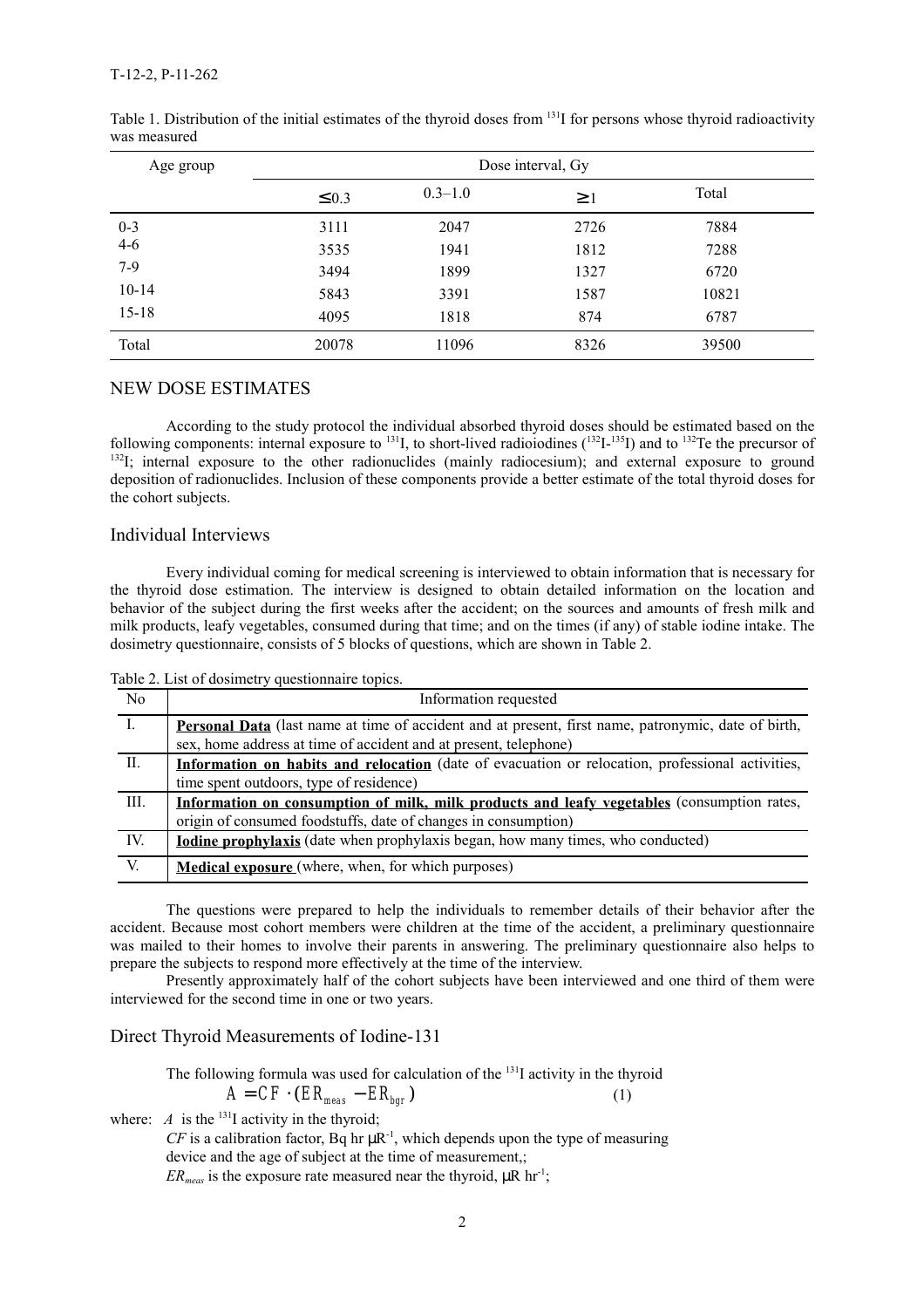| Age group | Dose interval, Gy |             |          |       |  |
|-----------|-------------------|-------------|----------|-------|--|
|           | $\leq 0.3$        | $0.3 - 1.0$ | $\geq$ 1 | Total |  |
| $0 - 3$   | 3111              | 2047        | 2726     | 7884  |  |
| $4 - 6$   | 3535              | 1941        | 1812     | 7288  |  |
| $7-9$     | 3494              | 1899        | 1327     | 6720  |  |
| $10 - 14$ | 5843              | 3391        | 1587     | 10821 |  |
| $15 - 18$ | 4095              | 1818        | 874      | 6787  |  |
| Total     | 20078             | 11096       | 8326     | 39500 |  |

Table 1. Distribution of the initial estimates of the thyroid doses from <sup>131</sup>I for persons whose thyroid radioactivity was measured

### NEW DOSE ESTIMATES

According to the study protocol the individual absorbed thyroid doses should be estimated based on the following components: internal exposure to  $^{131}$ , to short-lived radioiodines  $(^{132}I^{-135}I)$  and to  $^{132}Te$  the precursor of <sup>132</sup>I; internal exposure to the other radionuclides (mainly radiocesium); and external exposure to ground deposition of radionuclides. Inclusion of these components provide a better estimate of the total thyroid doses for the cohort subjects.

### Individual Interviews

Every individual coming for medical screening is interviewed to obtain information that is necessary for the thyroid dose estimation. The interview is designed to obtain detailed information on the location and behavior of the subject during the first weeks after the accident; on the sources and amounts of fresh milk and milk products, leafy vegetables, consumed during that time; and on the times (if any) of stable iodine intake. The dosimetry questionnaire, consists of 5 blocks of questions, which are shown in Table 2.

Table 2. List of dosimetry questionnaire topics.

| N <sub>0</sub> | Information requested                                                                                                                                                          |
|----------------|--------------------------------------------------------------------------------------------------------------------------------------------------------------------------------|
|                | <b>Personal Data</b> (last name at time of accident and at present, first name, patronymic, date of birth,<br>sex, home address at time of accident and at present, telephone) |
| Н.             | Information on habits and relocation (date of evacuation or relocation, professional activities,<br>time spent outdoors, type of residence)                                    |
| Ш.             | Information on consumption of milk, milk products and leafy vegetables (consumption rates,<br>origin of consumed foodstuffs, date of changes in consumption)                   |
| IV.            | <b>Iodine prophylaxis</b> (date when prophylaxis began, how many times, who conducted)                                                                                         |
| V.             | <b>Medical exposure</b> (where, when, for which purposes)                                                                                                                      |

The questions were prepared to help the individuals to remember details of their behavior after the accident. Because most cohort members were children at the time of the accident, a preliminary questionnaire was mailed to their homes to involve their parents in answering. The preliminary questionnaire also helps to prepare the subjects to respond more effectively at the time of the interview.

Presently approximately half of the cohort subjects have been interviewed and one third of them were interviewed for the second time in one or two years.

### Direct Thyroid Measurements of Iodine-131

The following formula was used for calculation of the  $^{131}I$  activity in the thyroid  $A = CF \cdot (ER_{\text{max}} - ER_{\text{hor}})$  (1)

where: *A* is the <sup>131</sup>I activity in the thyroid;

*CF* is a calibration factor, Bq hr  $\mu$ R<sup>-1</sup>, which depends upon the type of measuring device and the age of subject at the time of measurement,;

 $ER_{meas}$  is the exposure rate measured near the thyroid,  $\mu$ R hr<sup>-1</sup>;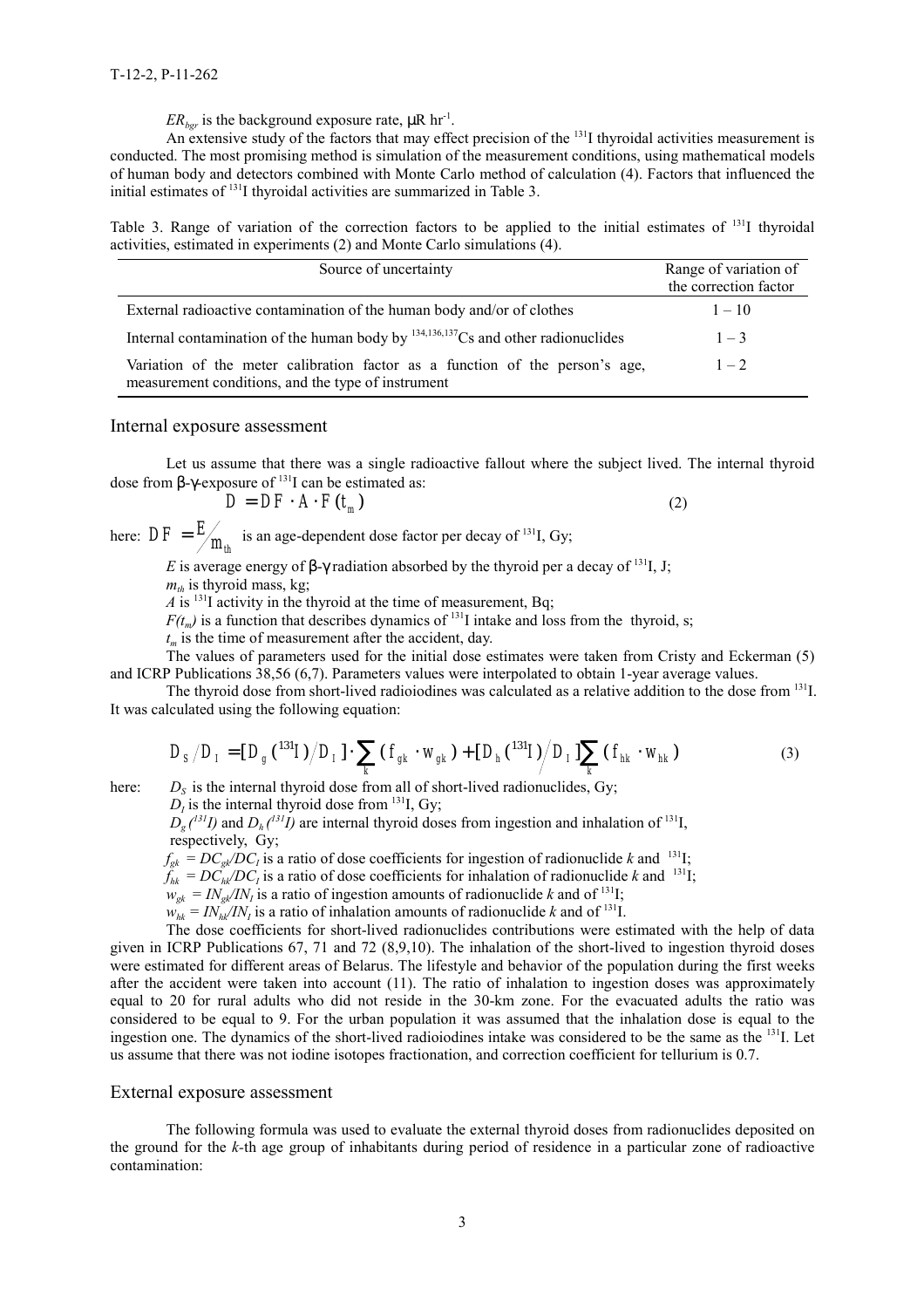$ER_{\text{hor}}$  is the background exposure rate,  $\mu$ R hr<sup>-1</sup>.

An extensive study of the factors that may effect precision of the  $^{131}$ I thyroidal activities measurement is conducted. The most promising method is simulation of the measurement conditions, using mathematical models of human body and detectors combined with Monte Carlo method of calculation (4). Factors that influenced the initial estimates of 131I thyroidal activities are summarized in Table 3.

Table 3. Range of variation of the correction factors to be applied to the initial estimates of <sup>131</sup>I thyroidal activities, estimated in experiments (2) and Monte Carlo simulations (4).

| Source of uncertainty                                                                                                              | Range of variation of<br>the correction factor |
|------------------------------------------------------------------------------------------------------------------------------------|------------------------------------------------|
| External radioactive contamination of the human body and/or of clothes                                                             | $1 - 10$                                       |
| Internal contamination of the human body by $^{134,136,137}Cs$ and other radionuclides                                             | $1 - 3$                                        |
| Variation of the meter calibration factor as a function of the person's age,<br>measurement conditions, and the type of instrument | $1 - 2$                                        |

#### Internal exposure assessment

Let us assume that there was a single radioactive fallout where the subject lived. The internal thyroid dose from β-γ-exposure of  $131$  can be estimated as:

$$
D = DF \cdot A \cdot F(t_m) \tag{2}
$$

here:  $DF = \frac{E}{m_{th}}$  is an age-dependent dose factor per decay of <sup>131</sup>I, Gy;

*E* is average energy of  $\beta$ -γ radiation absorbed by the thyroid per a decay of <sup>131</sup>I, J;  $m<sub>th</sub>$  is thyroid mass, kg;

 $\overline{A}$  is <sup>131</sup>I activity in the thyroid at the time of measurement, Bq;

 $F(t_m)$  is a function that describes dynamics of <sup>131</sup>I intake and loss from the thyroid, s;

 $t_m$  is the time of measurement after the accident, day.

The values of parameters used for the initial dose estimates were taken from Cristy and Eckerman (5) and ICRP Publications 38,56 (6,7). Parameters values were interpolated to obtain 1-year average values.

The thyroid dose from short-lived radioiodines was calculated as a relative addition to the dose from <sup>131</sup>I. It was calculated using the following equation:

$$
D_{S}/D_{I} = [D_{g}({}^{131}I)/D_{I}] \cdot \sum_{k} (f_{gk} \cdot w_{gk}) + [D_{h}({}^{131}I)/D_{I}] \sum_{k} (f_{hk} \cdot w_{hk})
$$
\n(3)

here:  $D<sub>S</sub>$  is the internal thyroid dose from all of short-lived radionuclides, Gy;  $D<sub>I</sub>$  is the internal thyroid dose from <sup>131</sup>I, Gy;

 $D_g(^{31}I)$  and  $D_h(^{31}I)$  are internal thyroid doses from ingestion and inhalation of <sup>131</sup>I, respectively, Gy;

 $f_{g_k} = DC_{g_k} / DC_l$  is a ratio of dose coefficients for ingestion of radionuclide k and <sup>131</sup>I;

 $\tilde{f}_{hk} = DC_{hk}^{\circ}/DC_I$  is a ratio of dose coefficients for inhalation of radionuclide k and <sup>131</sup>I;

 $w_{gk} = IN_{gk}/IN_I$  is a ratio of ingestion amounts of radionuclide *k* and of <sup>131</sup>I;

 $w_{hk} = IN_{hk}^{\circ} / IN_t$  is a ratio of inhalation amounts of radionuclide *k* and of <sup>131</sup>I.

The dose coefficients for short-lived radionuclides contributions were estimated with the help of data given in ICRP Publications 67, 71 and 72 (8,9,10). The inhalation of the short-lived to ingestion thyroid doses were estimated for different areas of Belarus. The lifestyle and behavior of the population during the first weeks after the accident were taken into account (11). The ratio of inhalation to ingestion doses was approximately equal to 20 for rural adults who did not reside in the 30-km zone. For the evacuated adults the ratio was considered to be equal to 9. For the urban population it was assumed that the inhalation dose is equal to the ingestion one. The dynamics of the short-lived radioiodines intake was considered to be the same as the 131I. Let us assume that there was not iodine isotopes fractionation, and correction coefficient for tellurium is 0.7.

#### External exposure assessment

The following formula was used to evaluate the external thyroid doses from radionuclides deposited on the ground for the *k-*th age group of inhabitants during period of residence in a particular zone of radioactive contamination: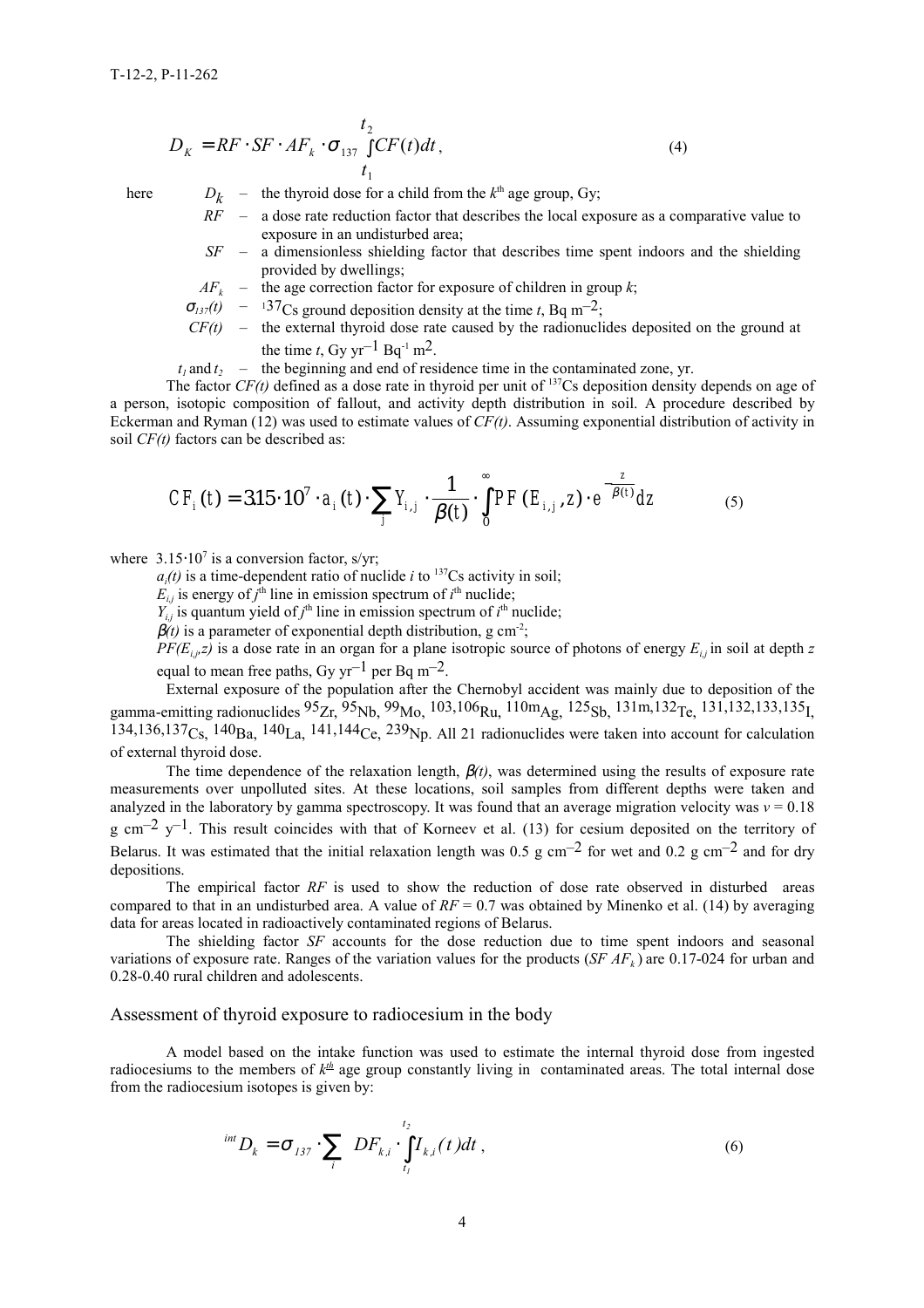$$
D_K = RF \cdot SF \cdot AF_k \cdot \sigma_{137} \int_{t_1}^{t_2} CF(t)dt, \tag{4}
$$

here  $D_k$  – the thyroid dose for a child from the  $k^{\text{th}}$  age group, Gy;

*RF* – a dose rate reduction factor that describes the local exposure as a comparative value to exposure in an undisturbed area;

- *SF* a dimensionless shielding factor that describes time spent indoors and the shielding provided by dwellings;
- *AF<sub>k</sub>* the age correction factor for exposure of children in group *k*;
- $\sigma_{137}(t)$  137<sub>Cs</sub> ground deposition density at the time *t*, Bq m<sup>-2</sup>;
- *CF(t)* the external thyroid dose rate caused by the radionuclides deposited on the ground at the time *t*, Gy yr<sup>-1</sup> Bq<sup>-1</sup> m<sup>2</sup>.
- $t_1$  and  $t_2$  the beginning and end of residence time in the contaminated zone, yr.

The factor  $CF(t)$  defined as a dose rate in thyroid per unit of <sup>137</sup>Cs deposition density depends on age of a person, isotopic composition of fallout, and activity depth distribution in soil. A procedure described by Eckerman and Ryman (12) was used to estimate values of *CF(t)*. Assuming exponential distribution of activity in soil *CF(t)* factors can be described as:

$$
CF_i(t) = 3.15 \cdot 10^7 \cdot a_i(t) \cdot \sum_j Y_{i,j} \cdot \frac{1}{\beta(t)} \cdot \int_0^\infty PF(E_{i,j}, z) \cdot e^{-\frac{z}{\beta(t)}} dz \tag{5}
$$

where  $3.15 \cdot 10^7$  is a conversion factor, s/yr;

 $a_i(t)$  is a time-dependent ratio of nuclide *i* to <sup>137</sup>Cs activity in soil;

 $E_{i,j}$  is energy of  $j^{\text{th}}$  line in emission spectrum of  $i^{\text{th}}$  nuclide;

 $Y_{i,j}$  is quantum yield of  $j^{\text{th}}$  line in emission spectrum of  $i^{\text{th}}$  nuclide;

 $\beta(t)$  is a parameter of exponential depth distribution, g cm<sup>-2</sup>;

 $PF(E_{i,iz})$  is a dose rate in an organ for a plane isotropic source of photons of energy  $E_{i,j}$  in soil at depth *z* equal to mean free paths, Gy yr<sup>-1</sup> per Bq m<sup>-2</sup>.

External exposure of the population after the Chernobyl accident was mainly due to deposition of the gamma-emitting radionuclides  $95Zr$ ,  $95Nb$ ,  $99Mo$ ,  $103,106Ru$ ,  $110mAg$ ,  $125Sb$ ,  $131m,132Te$ ,  $131,132,133,135I$ ,  $134,136,137<sub>Cs</sub>, 140<sub>Ba</sub>, 140<sub>La</sub>, 141,144<sub>Ce</sub>, 239<sub>Np</sub>$ . All 21 radionuclides were taken into account for calculation of external thyroid dose.

The time dependence of the relaxation length, β*(t)*, was determined using the results of exposure rate measurements over unpolluted sites. At these locations, soil samples from different depths were taken and analyzed in the laboratory by gamma spectroscopy. It was found that an average migration velocity was  $v = 0.18$  $g \text{ cm}^{-2}$  y<sup>-1</sup>. This result coincides with that of Korneev et al. (13) for cesium deposited on the territory of Belarus. It was estimated that the initial relaxation length was  $0.5 \text{ g cm}^{-2}$  for wet and  $0.2 \text{ g cm}^{-2}$  and for dry depositions.

The empirical factor *RF* is used to show the reduction of dose rate observed in disturbed areas compared to that in an undisturbed area. A value of  $RF = 0.7$  was obtained by Minenko et al. (14) by averaging data for areas located in radioactively contaminated regions of Belarus.

The shielding factor *SF* accounts for the dose reduction due to time spent indoors and seasonal variations of exposure rate. Ranges of the variation values for the products  $(SFAF_k)$  are 0.17-024 for urban and 0.28-0.40 rural children and adolescents.

#### Assessment of thyroid exposure to radiocesium in the body

A model based on the intake function was used to estimate the internal thyroid dose from ingested radiocesiums to the members of  $k<sup>th</sup>$  age group constantly living in contaminated areas. The total internal dose from the radiocesium isotopes is given by:

$$
{}^{int}D_{k} = \sigma_{137} \cdot \sum_{i} DF_{k,i} \cdot \int_{t_{1}}^{t_{2}} I_{k,i}(t)dt ,
$$
 (6)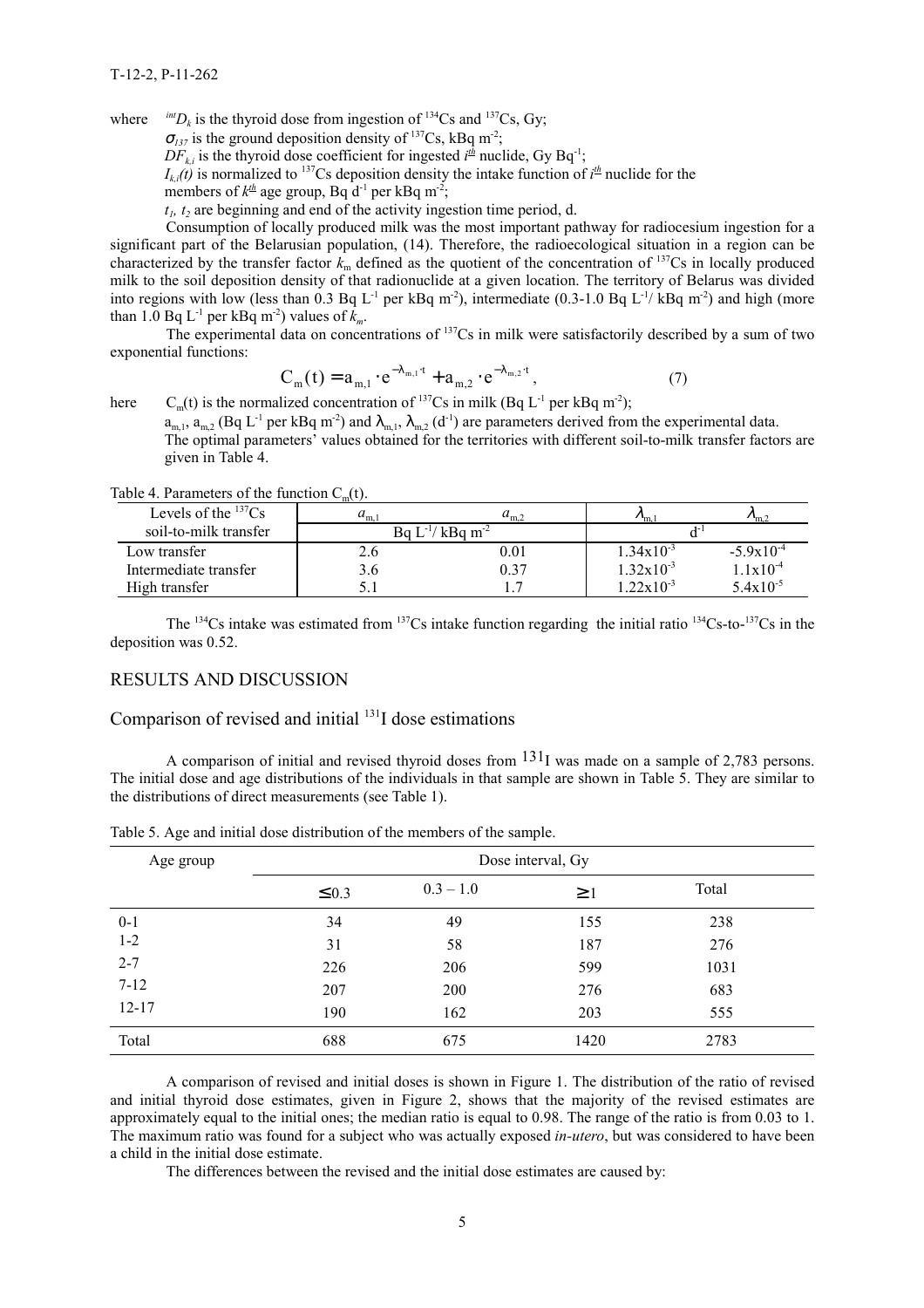where  $^{int}D_k$  is the thyroid dose from ingestion of <sup>134</sup>Cs and <sup>137</sup>Cs, Gy;

 $\sigma_{137}$  is the ground deposition density of <sup>137</sup>Cs, kBq m<sup>-2</sup>;

 $DF_{k,i}$  is the thyroid dose coefficient for ingested  $i<sup>th</sup>$  nuclide, Gy Bq<sup>-1</sup>;

 $I_{k,i}(t)$  is normalized to <sup>137</sup>Cs deposition density the intake function of  $i<sup>th</sup>$  nuclide for the

members of  $k^{\text{th}}$  age group, Bq d<sup>-1</sup> per kBq m<sup>-2</sup>;

 $t<sub>i</sub>$ ,  $t<sub>2</sub>$  are beginning and end of the activity ingestion time period, d.

Consumption of locally produced milk was the most important pathway for radiocesium ingestion for a significant part of the Belarusian population, (14). Therefore, the radioecological situation in a region can be characterized by the transfer factor  $k_m$  defined as the quotient of the concentration of <sup>137</sup>Cs in locally produced milk to the soil deposition density of that radionuclide at a given location. The territory of Belarus was divided into regions with low (less than 0.3 Bq L<sup>-1</sup> per kBq m<sup>-2</sup>), intermediate (0.3-1.0 Bq L<sup>-1</sup>/ kBq m<sup>-2</sup>) and high (more than 1.0 Bq  $L^{-1}$  per kBq m<sup>-2</sup>) values of  $k_m$ .

The experimental data on concentrations of 137Cs in milk were satisfactorily described by a sum of two exponential functions:

$$
C_{m}(t) = a_{m,1} \cdot e^{-\lambda_{m,1} \cdot t} + a_{m,2} \cdot e^{-\lambda_{m,2} \cdot t},
$$
\n(7)

here  $C_m(t)$  is the normalized concentration of <sup>137</sup>Cs in milk (Bq L<sup>-1</sup> per kBq m<sup>-2</sup>);

 $a_{m,1}$ ,  $a_{m,2}$  (Bq L<sup>-1</sup> per kBq m<sup>-2</sup>) and  $\lambda_{m,1}$ ,  $\lambda_{m,2}$  (d<sup>-1</sup>) are parameters derived from the experimental data. The optimal parameters' values obtained for the territories with different soil-to-milk transfer factors are given in Table 4.

Table 4. Parameters of the function  $C<sub>m</sub>(t)$ .

| Levels of the $^{137}Cs$ | $a_{m}$                          | $a_{m,2}$  | $v_{\rm m}$           | $v_{m,2}$      |  |
|--------------------------|----------------------------------|------------|-----------------------|----------------|--|
| soil-to-milk transfer    | Ba $L^{-1}/k$ Ba m <sup>-2</sup> |            |                       |                |  |
| Low transfer             |                                  | $\rm 0.01$ | $1.34 \times 10^{-3}$ | $-5.9x10^{-4}$ |  |
| Intermediate transfer    | 9.O                              | 0.37       | $1.32 \times 10^{-3}$ | $1.1x10^{-4}$  |  |
| High transfer            |                                  |            | $1.22 \times 10^{-3}$ | $5.4x10^{-5}$  |  |

The <sup>134</sup>Cs intake was estimated from <sup>137</sup>Cs intake function regarding the initial ratio <sup>134</sup>Cs-to-<sup>137</sup>Cs in the deposition was 0.52.

## RESULTS AND DISCUSSION

Comparison of revised and initial  $131$  dose estimations

A comparison of initial and revised thyroid doses from  $131<sub>I</sub>$  was made on a sample of 2,783 persons. The initial dose and age distributions of the individuals in that sample are shown in Table 5. They are similar to the distributions of direct measurements (see Table 1).

| Age group | Dose interval, Gy |             |          |       |  |
|-----------|-------------------|-------------|----------|-------|--|
|           | $\leq 0.3$        | $0.3 - 1.0$ | $\geq$ 1 | Total |  |
| $0 - 1$   | 34                | 49          | 155      | 238   |  |
| $1-2$     | 31                | 58          | 187      | 276   |  |
| $2 - 7$   | 226               | 206         | 599      | 1031  |  |
| $7 - 12$  | 207               | 200         | 276      | 683   |  |
| $12 - 17$ | 190               | 162         | 203      | 555   |  |
| Total     | 688               | 675         | 1420     | 2783  |  |

Table 5. Age and initial dose distribution of the members of the sample.

A comparison of revised and initial doses is shown in Figure 1. The distribution of the ratio of revised and initial thyroid dose estimates, given in Figure 2, shows that the majority of the revised estimates are approximately equal to the initial ones; the median ratio is equal to 0.98. The range of the ratio is from 0.03 to 1. The maximum ratio was found for a subject who was actually exposed *in-utero*, but was considered to have been a child in the initial dose estimate.

The differences between the revised and the initial dose estimates are caused by: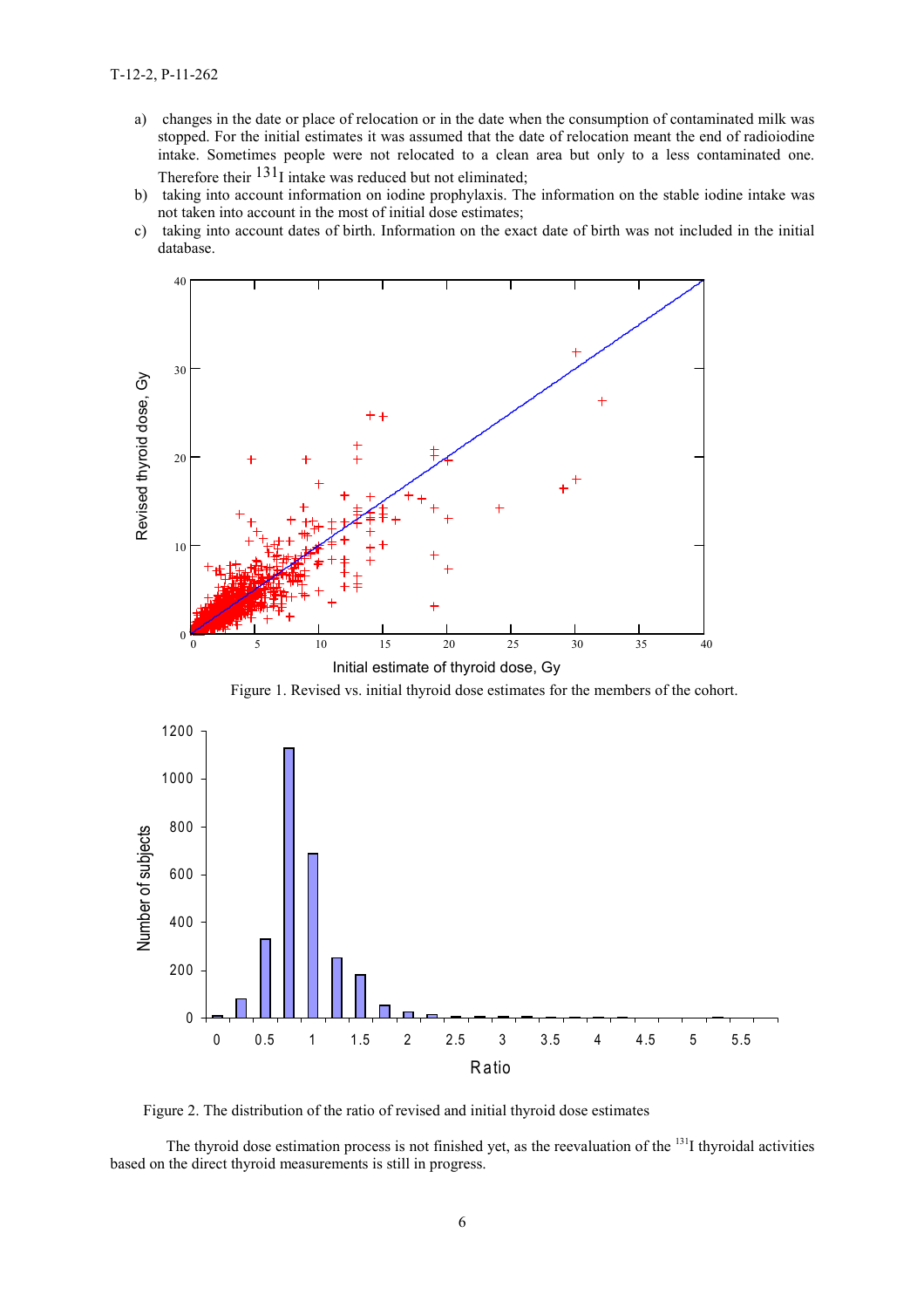- a) changes in the date or place of relocation or in the date when the consumption of contaminated milk was stopped. For the initial estimates it was assumed that the date of relocation meant the end of radioiodine intake. Sometimes people were not relocated to a clean area but only to a less contaminated one. Therefore their  $131$ I intake was reduced but not eliminated;
- b) taking into account information on iodine prophylaxis. The information on the stable iodine intake was not taken into account in the most of initial dose estimates;
- c) taking into account dates of birth. Information on the exact date of birth was not included in the initial database.



Figure 1. Revised vs. initial thyroid dose estimates for the members of the cohort.



Figure 2. The distribution of the ratio of revised and initial thyroid dose estimates

The thyroid dose estimation process is not finished yet, as the reevaluation of the <sup>131</sup>I thyroidal activities based on the direct thyroid measurements is still in progress.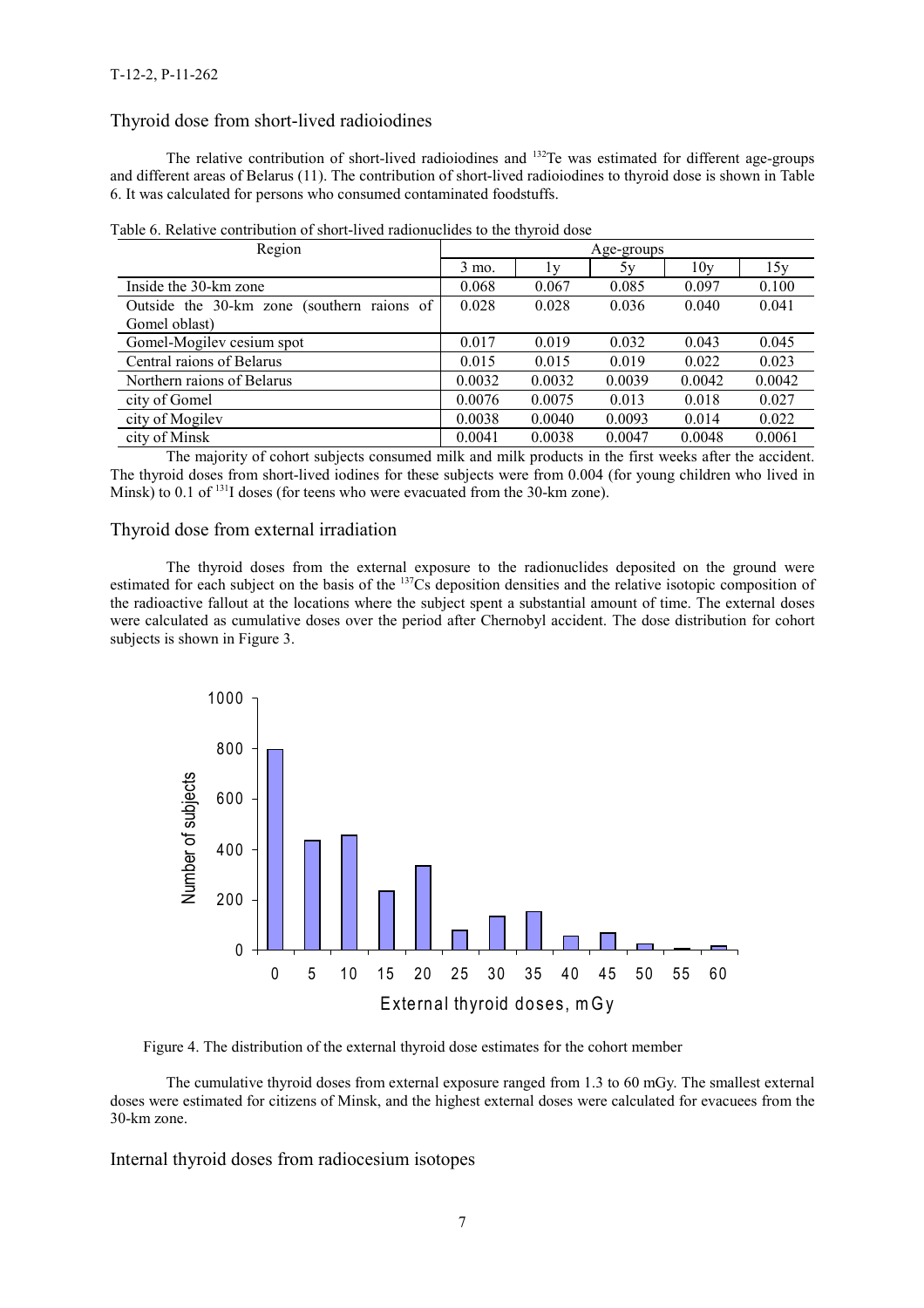## Thyroid dose from short-lived radioiodines

The relative contribution of short-lived radioiodines and <sup>132</sup>Te was estimated for different age-groups and different areas of Belarus (11). The contribution of short-lived radioiodines to thyroid dose is shown in Table 6. It was calculated for persons who consumed contaminated foodstuffs.

| Region                                     | ┙<br>Age-groups  |        |        |        |        |  |
|--------------------------------------------|------------------|--------|--------|--------|--------|--|
|                                            | $3 \text{ mo}$ . | l v    | 5y     | 10v    | 15y    |  |
| Inside the 30-km zone                      | 0.068            | 0.067  | 0.085  | 0.097  | 0.100  |  |
| Outside the 30-km zone (southern raions of | 0.028            | 0.028  | 0.036  | 0.040  | 0.041  |  |
| Gomel oblast)                              |                  |        |        |        |        |  |
| Gomel-Mogilev cesium spot                  | 0.017            | 0.019  | 0.032  | 0.043  | 0.045  |  |
| Central raions of Belarus                  | 0.015            | 0.015  | 0.019  | 0.022  | 0.023  |  |
| Northern raions of Belarus                 | 0.0032           | 0.0032 | 0.0039 | 0.0042 | 0.0042 |  |
| city of Gomel                              | 0.0076           | 0.0075 | 0.013  | 0.018  | 0.027  |  |
| city of Mogilev                            | 0.0038           | 0.0040 | 0.0093 | 0.014  | 0.022  |  |
| city of Minsk                              | 0.0041           | 0.0038 | 0.0047 | 0.0048 | 0.0061 |  |

Table 6. Relative contribution of short-lived radionuclides to the thyroid dose

The majority of cohort subjects consumed milk and milk products in the first weeks after the accident. The thyroid doses from short-lived iodines for these subjects were from 0.004 (for young children who lived in Minsk) to 0.1 of  $^{131}$ I doses (for teens who were evacuated from the 30-km zone).

## Thyroid dose from external irradiation

The thyroid doses from the external exposure to the radionuclides deposited on the ground were estimated for each subject on the basis of the <sup>137</sup>Cs deposition densities and the relative isotopic composition of the radioactive fallout at the locations where the subject spent a substantial amount of time. The external doses were calculated as cumulative doses over the period after Chernobyl accident. The dose distribution for cohort subjects is shown in Figure 3.



Figure 4. The distribution of the external thyroid dose estimates for the cohort member

The cumulative thyroid doses from external exposure ranged from 1.3 to 60 mGy. The smallest external doses were estimated for citizens of Minsk, and the highest external doses were calculated for evacuees from the 30-km zone.

Internal thyroid doses from radiocesium isotopes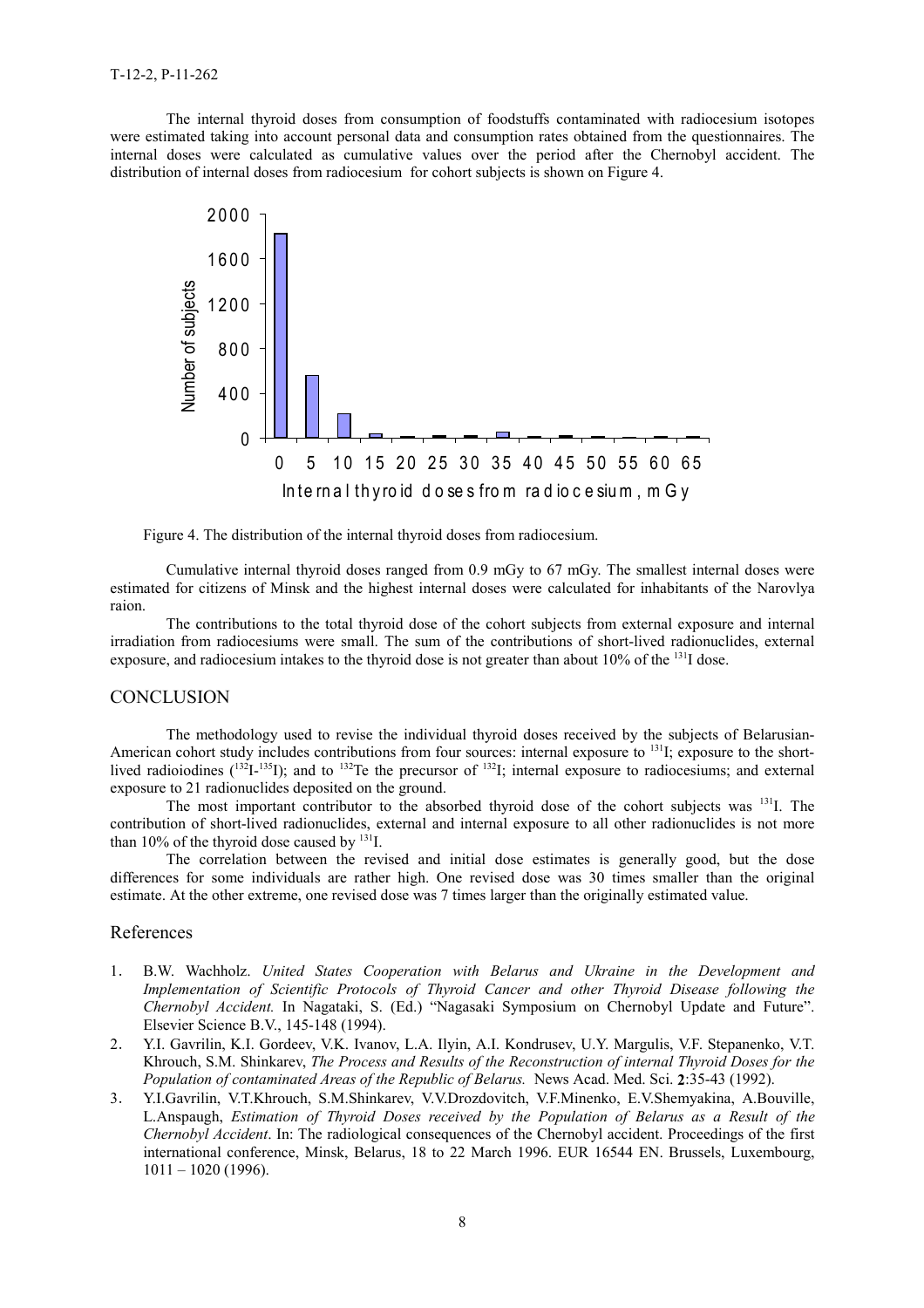The internal thyroid doses from consumption of foodstuffs contaminated with radiocesium isotopes were estimated taking into account personal data and consumption rates obtained from the questionnaires. The internal doses were calculated as cumulative values over the period after the Chernobyl accident. The distribution of internal doses from radiocesium for cohort subjects is shown on Figure 4.



Figure 4. The distribution of the internal thyroid doses from radiocesium.

Cumulative internal thyroid doses ranged from 0.9 mGy to 67 mGy. The smallest internal doses were estimated for citizens of Minsk and the highest internal doses were calculated for inhabitants of the Narovlya raion.

The contributions to the total thyroid dose of the cohort subjects from external exposure and internal irradiation from radiocesiums were small. The sum of the contributions of short-lived radionuclides, external exposure, and radiocesium intakes to the thyroid dose is not greater than about  $10\%$  of the  $^{131}I$  dose.

#### **CONCLUSION**

The methodology used to revise the individual thyroid doses received by the subjects of Belarusian-American cohort study includes contributions from four sources: internal exposure to <sup>131</sup>I; exposure to the shortlived radioiodines  $(^{132}I^{-135}I)$ ; and to  $^{132}Te$  the precursor of  $^{132}I$ ; internal exposure to radiocesiums; and external exposure to 21 radionuclides deposited on the ground.

The most important contributor to the absorbed thyroid dose of the cohort subjects was <sup>131</sup>I. The contribution of short-lived radionuclides, external and internal exposure to all other radionuclides is not more than 10% of the thyroid dose caused by  $^{131}$ .

The correlation between the revised and initial dose estimates is generally good, but the dose differences for some individuals are rather high. One revised dose was 30 times smaller than the original estimate. At the other extreme, one revised dose was 7 times larger than the originally estimated value.

#### References

- 1. B.W. Wachholz. *United States Cooperation with Belarus and Ukraine in the Development and Implementation of Scientific Protocols of Thyroid Cancer and other Thyroid Disease following the Chernobyl Accident.* In Nagataki, S. (Ed.) "Nagasaki Symposium on Chernobyl Update and Future". Elsevier Science B.V., 145-148 (1994).
- 2. Y.I. Gavrilin, K.I. Gordeev, V.K. Ivanov, L.A. Ilyin, A.I. Kondrusev, U.Y. Margulis, V.F. Stepanenko, V.T. Khrouch, S.M. Shinkarev, *The Process and Results of the Reconstruction of internal Thyroid Doses for the Population of contaminated Areas of the Republic of Belarus.* News Acad. Med. Sci. 2:35-43 (1992).
- 3. Y.I.Gavrilin, V.T.Khrouch, S.M.Shinkarev, V.V.Drozdovitch, V.F.Minenko, E.V.Shemyakina, A.Bouville, L.Anspaugh, *Estimation of Thyroid Doses received by the Population of Belarus as a Result of the Chernobyl Accident*. In: The radiological consequences of the Chernobyl accident. Proceedings of the first international conference, Minsk, Belarus, 18 to 22 March 1996. EUR 16544 EN. Brussels, Luxembourg, 1011 – 1020 (1996).